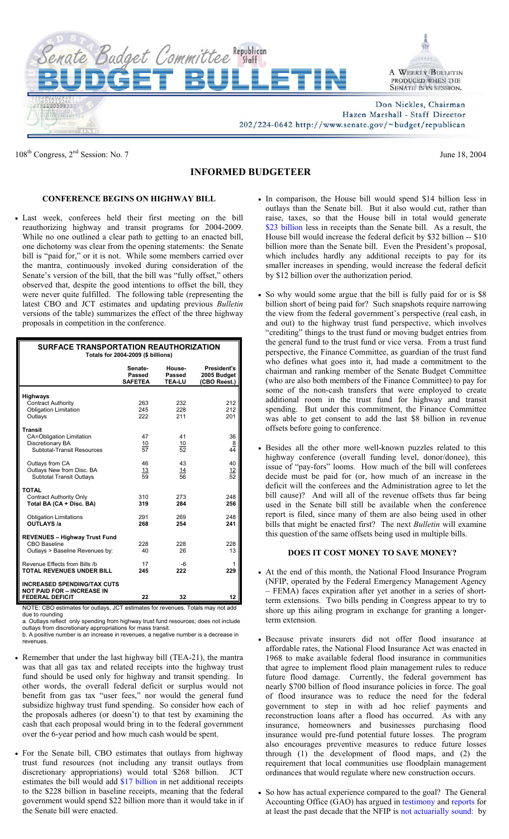

108<sup>th</sup> Congress,  $2<sup>nd</sup>$  Session: No. 7 June 18, 2004

## **INFORMED BUDGETEER**

## **CONFERENCE BEGINS ON HIGHWAY BILL**

• Last week, conferees held their first meeting on the bill reauthorizing highway and transit programs for 2004-2009. While no one outlined a clear path to getting to an enacted bill, one dichotomy was clear from the opening statements: the Senate bill is "paid for," or it is not. While some members carried over the mantra, continuously invoked during consideration of the Senate's version of the bill, that the bill was "fully offset," others observed that, despite the good intentions to offset the bill, they were never quite fulfilled. The following table (representing the latest CBO and JCT estimates and updating previous *Bulletin* versions of the table) summarizes the effect of the three highway proposals in competition in the conference.

| <b>SURFACE TRANSPORTATION REAUTHORIZATION</b><br>Totals for 2004-2009 (\$ billions)               |                                     |                                   |                                                   |
|---------------------------------------------------------------------------------------------------|-------------------------------------|-----------------------------------|---------------------------------------------------|
|                                                                                                   | Senate-<br>Passed<br><b>SAFETEA</b> | House-<br>Passed<br><b>TEA-LU</b> | <b>President's</b><br>2005 Budget<br>(CBO Reest.) |
| <b>Highways</b><br><b>Contract Authority</b><br><b>Obligation Limitation</b><br>Outlays           | 263<br>245<br>222                   | 232<br>228<br>211                 | 212<br>212<br>201                                 |
| <b>Transit</b><br>CA=Obligation Limitation<br>Discretionary BA<br>Subtotal-Transit Resources      | 47<br>$\frac{10}{57}$               | 41<br>10<br>52                    | 36<br>8<br>44                                     |
| Outlays from CA<br>Outlays New from Disc. BA<br><b>Subtotal Transit Outlays</b>                   | 46<br>$\frac{13}{59}$               | 43<br>$\frac{14}{56}$             | 40<br>$\frac{12}{52}$                             |
| <b>TOTAL</b><br><b>Contract Authority Only</b><br>Total BA (CA + Disc. BA)                        | 310<br>319                          | 273<br>284                        | 248<br>256                                        |
| <b>Obligation Limitations</b><br><b>OUTLAYS /a</b>                                                | 291<br>268                          | 269<br>254                        | 248<br>241                                        |
| <b>REVENUES - Highway Trust Fund</b><br>CBO Baseline<br>Outlays > Baseline Revenues by:           | 228<br>40                           | 228<br>26                         | 228<br>13                                         |
| Revenue Effects from Bills /b<br><b>TOTAL REVENUES UNDER BILL</b>                                 | 17<br>245                           | -6<br>222                         | 1<br>229                                          |
| <b>INCREASED SPENDING/TAX CUTS</b><br><b>NOT PAID FOR - INCREASE IN</b><br><b>FEDERAL DEFICIT</b> | 22                                  | 32                                | 12                                                |

) estimates for outlays. JCT estimates for revenues. Totals may not add due to rounding

a. Outlays reflect only spending from highway trust fund resources; does not include outlays from discretionary appropriations for mass transit. b. A positive number is an increase in revenues, a negative number is a decrease in

- revenues. • Remember that under the last highway bill (TEA-21), the mantra
- was that all gas tax and related receipts into the highway trust fund should be used only for highway and transit spending. In other words, the overall federal deficit or surplus would not benefit from gas tax "user fees," nor would the general fund subsidize highway trust fund spending. So consider how each of the proposals adheres (or doesn't) to that test by examining the cash that each proposal would bring in to the federal government over the 6-year period and how much cash would be spent.
- For the Senate bill, CBO estimates that outlays from highway trust fund resources (not including any transit outlays from discretionary appropriations) would total \$268 billion. JCT estimates the bill would add [\\$17 billion](http://www.house.gov/jct/x-19-04.pdf) in net additional receipts to the \$228 billion in baseline receipts, meaning that the federal government would spend \$22 billion more than it would take in if the Senate bill were enacted.
- In comparison, the House bill would spend \$14 billion less in outlays than the Senate bill. But it also would cut, rather than raise, taxes, so that the House bill in total would generate [\\$23 billion](http://www.house.gov/jct/x-27-04.pdf) less in receipts than the Senate bill. As a result, the House bill would increase the federal deficit by \$32 billion -- \$10 billion more than the Senate bill. Even the President's proposal, which includes hardly any additional receipts to pay for its smaller increases in spending, would increase the federal deficit by \$12 billion over the authorization period.
- So why would some argue that the bill is fully paid for or is \$8 billion short of being paid for? Such snapshots require narrowing the view from the federal government's perspective (real cash, in and out) to the highway trust fund perspective, which involves "crediting" things to the trust fund or moving budget entries from the general fund to the trust fund or vice versa. From a trust fund perspective, the Finance Committee, as guardian of the trust fund who defines what goes into it, had made a commitment to the chairman and ranking member of the Senate Budget Committee (who are also both members of the Finance Committee) to pay for some of the non-cash transfers that were employed to create additional room in the trust fund for highway and transit spending. But under this commitment, the Finance Committee was able to get consent to add the last \$8 billion in revenue offsets before going to conference.
- Besides all the other more well-known puzzles related to this highway conference (overall funding level, donor/donee), this issue of "pay-fors" looms. How much of the bill will conferees decide must be paid for (or, how much of an increase in the deficit will the conferees and the Administration agree to let the bill cause)? And will all of the revenue offsets thus far being used in the Senate bill still be available when the conference report is filed, since many of them are also being used in other bills that might be enacted first? The next *Bulletin* will examine this question of the same offsets being used in multiple bills.

## **DOES IT COST MONEY TO SAVE MONEY?**

- At the end of this month, the National Flood Insurance Program (NFIP, operated by the Federal Emergency Management Agency – FEMA) faces expiration after yet another in a series of shortterm extensions. Two bills pending in Congress appear to try to shore up this ailing program in exchange for granting a longerterm extension.
- Because private insurers did not offer flood insurance at affordable rates, the National Flood Insurance Act was enacted in 1968 to make available federal flood insurance in communities that agree to implement flood plain management rules to reduce future flood damage. Currently, the federal government has nearly \$700 billion of flood insurance policies in force. The goal of flood insurance was to reduce the need for the federal government to step in with ad hoc relief payments and reconstruction loans after a flood has occurred. As with any insurance, homeowners and businesses purchasing flood insurance would pre-fund potential future losses. The program also encourages preventive measures to reduce future losses through (1) the development of flood maps, and (2) the requirement that local communities use floodplain management ordinances that would regulate where new construction occurs.
- So how has actual experience compared to the goal? The General Accounting Office (GAO) has argued in [testimony](http://www.gao.gov/cgi-bin/getrpt?GAO-03-606T) and [reports](http://www.gao.gov/cgi-bin/getrpt?GAO-04-401T) for at least the past decade that the NFIP is [not actuarially sound:](http://www.gao.gov/cgi-bin/getrpt?GAO-01-992T) by